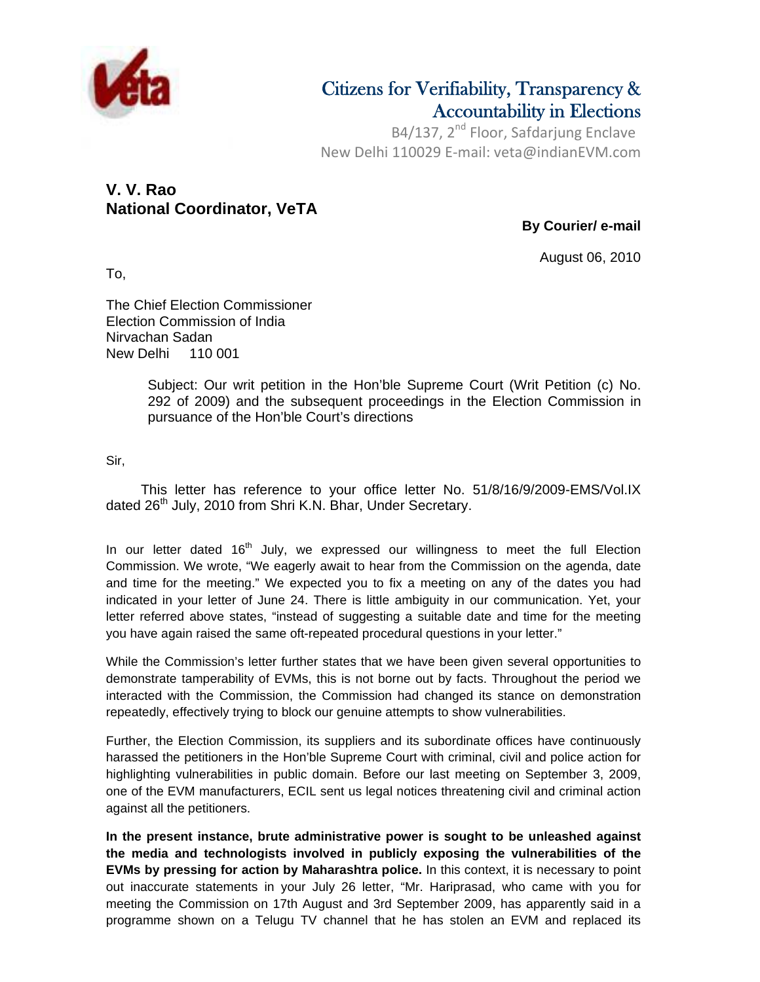

# Citizens for Verifiability, Transparency & Accountability in Elections

B4/137, 2<sup>nd</sup> Floor, Safdarjung Enclave New Delhi 110029 E‐mail: veta@indianEVM.com

## **V. V. Rao National Coordinator, VeTA**

**By Courier/ e-mail** 

August 06, 2010

To,

The Chief Election Commissioner Election Commission of India Nirvachan Sadan New Delhi 110 001

> Subject: Our writ petition in the Hon'ble Supreme Court (Writ Petition (c) No. 292 of 2009) and the subsequent proceedings in the Election Commission in pursuance of the Hon'ble Court's directions

Sir,

 This letter has reference to your office letter No. 51/8/16/9/2009-EMS/Vol.IX dated 26<sup>th</sup> July, 2010 from Shri K.N. Bhar, Under Secretary.

In our letter dated  $16<sup>th</sup>$  July, we expressed our willingness to meet the full Election Commission. We wrote, "We eagerly await to hear from the Commission on the agenda, date and time for the meeting." We expected you to fix a meeting on any of the dates you had indicated in your letter of June 24. There is little ambiguity in our communication. Yet, your letter referred above states, "instead of suggesting a suitable date and time for the meeting you have again raised the same oft-repeated procedural questions in your letter."

While the Commission's letter further states that we have been given several opportunities to demonstrate tamperability of EVMs, this is not borne out by facts. Throughout the period we interacted with the Commission, the Commission had changed its stance on demonstration repeatedly, effectively trying to block our genuine attempts to show vulnerabilities.

Further, the Election Commission, its suppliers and its subordinate offices have continuously harassed the petitioners in the Hon'ble Supreme Court with criminal, civil and police action for highlighting vulnerabilities in public domain. Before our last meeting on September 3, 2009, one of the EVM manufacturers, ECIL sent us legal notices threatening civil and criminal action against all the petitioners.

**In the present instance, brute administrative power is sought to be unleashed against the media and technologists involved in publicly exposing the vulnerabilities of the EVMs by pressing for action by Maharashtra police.** In this context, it is necessary to point out inaccurate statements in your July 26 letter, "Mr. Hariprasad, who came with you for meeting the Commission on 17th August and 3rd September 2009, has apparently said in a programme shown on a Telugu TV channel that he has stolen an EVM and replaced its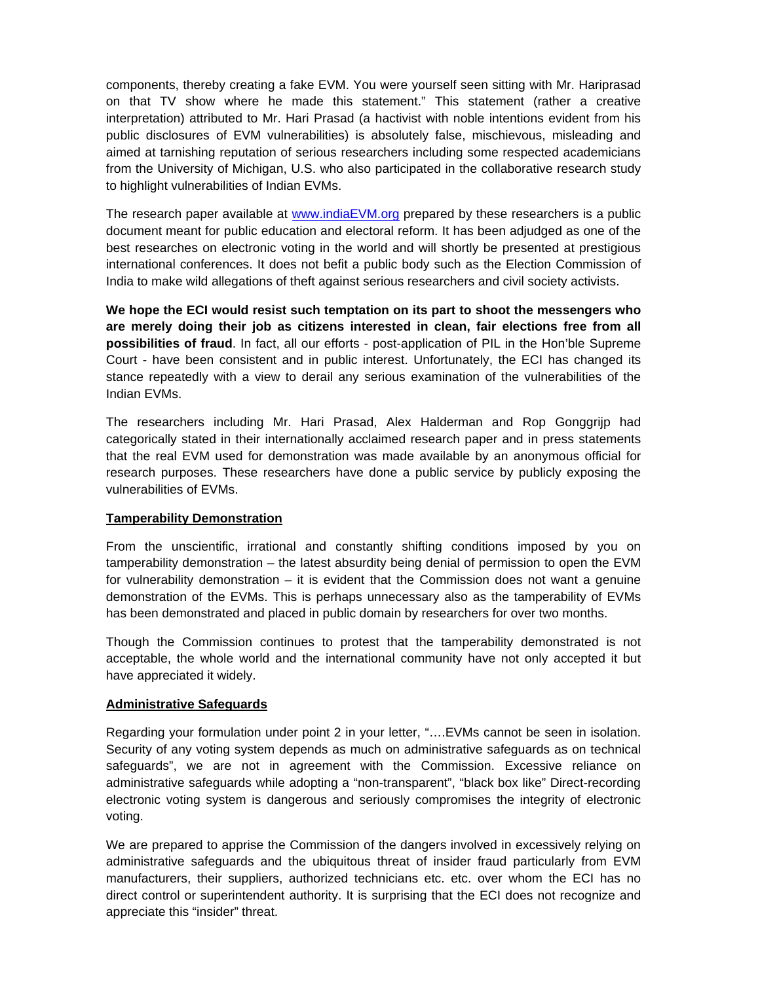components, thereby creating a fake EVM. You were yourself seen sitting with Mr. Hariprasad on that TV show where he made this statement." This statement (rather a creative interpretation) attributed to Mr. Hari Prasad (a hactivist with noble intentions evident from his public disclosures of EVM vulnerabilities) is absolutely false, mischievous, misleading and aimed at tarnishing reputation of serious researchers including some respected academicians from the University of Michigan, U.S. who also participated in the collaborative research study to highlight vulnerabilities of Indian EVMs.

The research paper available at www.indiaEVM.org prepared by these researchers is a public document meant for public education and electoral reform. It has been adjudged as one of the best researches on electronic voting in the world and will shortly be presented at prestigious international conferences. It does not befit a public body such as the Election Commission of India to make wild allegations of theft against serious researchers and civil society activists.

**We hope the ECI would resist such temptation on its part to shoot the messengers who are merely doing their job as citizens interested in clean, fair elections free from all possibilities of fraud**. In fact, all our efforts - post-application of PIL in the Hon'ble Supreme Court - have been consistent and in public interest. Unfortunately, the ECI has changed its stance repeatedly with a view to derail any serious examination of the vulnerabilities of the Indian EVMs.

The researchers including Mr. Hari Prasad, Alex Halderman and Rop Gonggrijp had categorically stated in their internationally acclaimed research paper and in press statements that the real EVM used for demonstration was made available by an anonymous official for research purposes. These researchers have done a public service by publicly exposing the vulnerabilities of EVMs.

### **Tamperability Demonstration**

From the unscientific, irrational and constantly shifting conditions imposed by you on tamperability demonstration – the latest absurdity being denial of permission to open the EVM for vulnerability demonstration – it is evident that the Commission does not want a genuine demonstration of the EVMs. This is perhaps unnecessary also as the tamperability of EVMs has been demonstrated and placed in public domain by researchers for over two months.

Though the Commission continues to protest that the tamperability demonstrated is not acceptable, the whole world and the international community have not only accepted it but have appreciated it widely.

### **Administrative Safeguards**

Regarding your formulation under point 2 in your letter, "….EVMs cannot be seen in isolation. Security of any voting system depends as much on administrative safeguards as on technical safeguards", we are not in agreement with the Commission. Excessive reliance on administrative safeguards while adopting a "non-transparent", "black box like" Direct-recording electronic voting system is dangerous and seriously compromises the integrity of electronic voting.

We are prepared to apprise the Commission of the dangers involved in excessively relying on administrative safeguards and the ubiquitous threat of insider fraud particularly from EVM manufacturers, their suppliers, authorized technicians etc. etc. over whom the ECI has no direct control or superintendent authority. It is surprising that the ECI does not recognize and appreciate this "insider" threat.